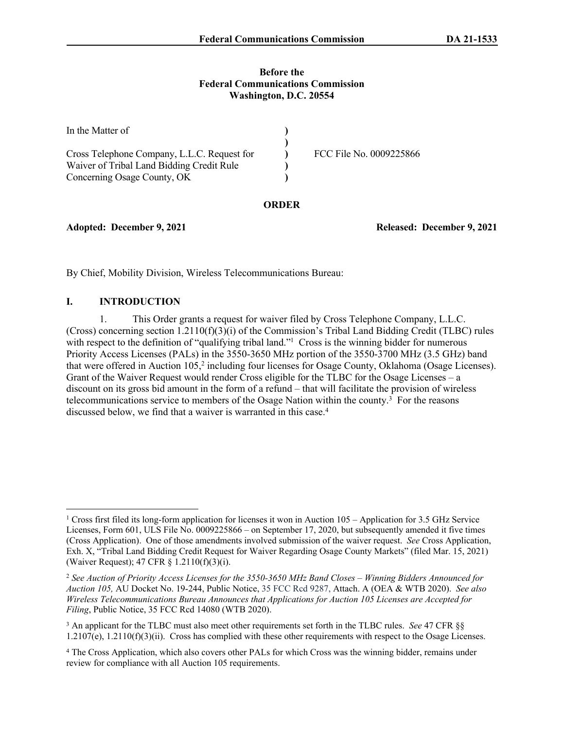#### **Before the Federal Communications Commission Washington, D.C. 20554**

| In the Matter of                            |                         |
|---------------------------------------------|-------------------------|
|                                             |                         |
| Cross Telephone Company, L.L.C. Request for | FCC File No. 0009225866 |
| Waiver of Tribal Land Bidding Credit Rule   |                         |
| Concerning Osage County, OK                 |                         |

## **ORDER**

**Adopted: December 9, 2021 Released: December 9, 2021**

By Chief, Mobility Division, Wireless Telecommunications Bureau:

## **I. INTRODUCTION**

1. This Order grants a request for waiver filed by Cross Telephone Company, L.L.C. (Cross) concerning section 1.2110( $f(3)(i)$  of the Commission's Tribal Land Bidding Credit (TLBC) rules with respect to the definition of "qualifying tribal land."<sup>1</sup> Cross is the winning bidder for numerous Priority Access Licenses (PALs) in the 3550-3650 MHz portion of the 3550-3700 MHz (3.5 GHz) band that were offered in Auction 105,<sup>2</sup> including four licenses for Osage County, Oklahoma (Osage Licenses). Grant of the Waiver Request would render Cross eligible for the TLBC for the Osage Licenses – a discount on its gross bid amount in the form of a refund – that will facilitate the provision of wireless telecommunications service to members of the Osage Nation within the county.<sup>3</sup> For the reasons discussed below, we find that a waiver is warranted in this case.<sup>4</sup>

<sup>1</sup> Cross first filed its long-form application for licenses it won in Auction 105 – Application for 3.5 GHz Service Licenses, Form 601, ULS File No. 0009225866 – on September 17, 2020, but subsequently amended it five times (Cross Application). One of those amendments involved submission of the waiver request. *See* Cross Application, Exh. X, "Tribal Land Bidding Credit Request for Waiver Regarding Osage County Markets" (filed Mar. 15, 2021) (Waiver Request); 47 CFR § 1.2110(f)(3)(i).

<sup>2</sup> *See Auction of Priority Access Licenses for the 3550-3650 MHz Band Closes – Winning Bidders Announced for Auction 105,* AU Docket No. 19-244, Public Notice, 35 FCC Rcd 9287, Attach. A (OEA & WTB 2020). *See also Wireless Telecommunications Bureau Announces that Applications for Auction 105 Licenses are Accepted for Filing*, Public Notice, 35 FCC Rcd 14080 (WTB 2020).

<sup>3</sup> An applicant for the TLBC must also meet other requirements set forth in the TLBC rules. *See* 47 CFR §§ 1.2107(e), 1.2110(f)(3)(ii). Cross has complied with these other requirements with respect to the Osage Licenses.

<sup>4</sup> The Cross Application, which also covers other PALs for which Cross was the winning bidder, remains under review for compliance with all Auction 105 requirements.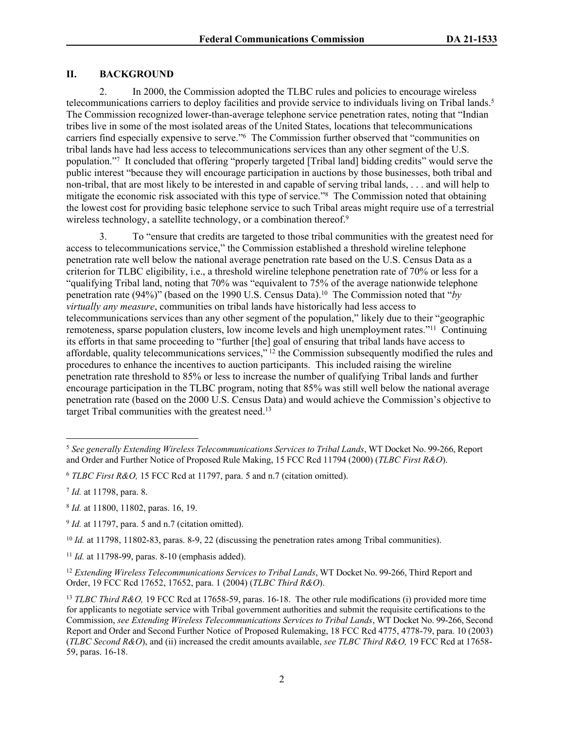## **II. BACKGROUND**

2. In 2000, the Commission adopted the TLBC rules and policies to encourage wireless telecommunications carriers to deploy facilities and provide service to individuals living on Tribal lands.<sup>5</sup> The Commission recognized lower-than-average telephone service penetration rates, noting that "Indian tribes live in some of the most isolated areas of the United States, locations that telecommunications carriers find especially expensive to serve."<sup>6</sup> The Commission further observed that "communities on tribal lands have had less access to telecommunications services than any other segment of the U.S. population."<sup>7</sup> It concluded that offering "properly targeted [Tribal land] bidding credits" would serve the public interest "because they will encourage participation in auctions by those businesses, both tribal and non-tribal, that are most likely to be interested in and capable of serving tribal lands, . . . and will help to mitigate the economic risk associated with this type of service."<sup>8</sup> The Commission noted that obtaining the lowest cost for providing basic telephone service to such Tribal areas might require use of a terrestrial wireless technology, a satellite technology, or a combination thereof.<sup>9</sup>

3. To "ensure that credits are targeted to those tribal communities with the greatest need for access to telecommunications service," the Commission established a threshold wireline telephone penetration rate well below the national average penetration rate based on the U.S. Census Data as a criterion for TLBC eligibility, i.e., a threshold wireline telephone penetration rate of 70% or less for a "qualifying Tribal land, noting that 70% was "equivalent to 75% of the average nationwide telephone penetration rate (94%)" (based on the 1990 U.S. Census Data).<sup>10</sup> The Commission noted that "*by virtually any measure*, communities on tribal lands have historically had less access to telecommunications services than any other segment of the population," likely due to their "geographic remoteness, sparse population clusters, low income levels and high unemployment rates."<sup>11</sup> Continuing its efforts in that same proceeding to "further [the] goal of ensuring that tribal lands have access to affordable, quality telecommunications services,"<sup>12</sup> the Commission subsequently modified the rules and procedures to enhance the incentives to auction participants. This included raising the wireline penetration rate threshold to 85% or less to increase the number of qualifying Tribal lands and further encourage participation in the TLBC program, noting that 85% was still well below the national average penetration rate (based on the 2000 U.S. Census Data) and would achieve the Commission's objective to target Tribal communities with the greatest need.<sup>13</sup>

<sup>5</sup> *See generally Extending Wireless Telecommunications Services to Tribal Lands*, WT Docket No. 99-266, Report and Order and Further Notice of Proposed Rule Making, 15 FCC Rcd 11794 (2000) (*TLBC First R&O*).

<sup>6</sup> *TLBC First R&O,* 15 FCC Rcd at 11797, para. 5 and n.7 (citation omitted).

<sup>7</sup> *Id.* at 11798, para. 8.

<sup>8</sup> *Id.* at 11800, 11802, paras. 16, 19.

<sup>&</sup>lt;sup>9</sup> *Id.* at 11797, para. 5 and n.7 (citation omitted).

<sup>10</sup> *Id.* at 11798, 11802-83, paras. 8-9, 22 (discussing the penetration rates among Tribal communities).

<sup>11</sup> *Id.* at 11798-99, paras. 8-10 (emphasis added).

<sup>&</sup>lt;sup>12</sup> Extending Wireless Telecommunications Services to Tribal Lands, WT Docket No. 99-266, Third Report and Order, 19 FCC Rcd 17652, 17652, para. 1 (2004) (*TLBC Third R&O*).

<sup>13</sup> *TLBC Third R&O,* 19 FCC Rcd at 17658-59, paras. 16-18. The other rule modifications (i) provided more time for applicants to negotiate service with Tribal government authorities and submit the requisite certifications to the Commission, *see Extending Wireless Telecommunications Services to Tribal Lands*, WT Docket No. 99-266, Second Report and Order and Second Further Notice of Proposed Rulemaking, 18 FCC Rcd 4775, 4778-79, para. 10 (2003) (*TLBC Second R&O*), and (ii) increased the credit amounts available, *see TLBC Third R&O,* 19 FCC Rcd at 17658- 59, paras. 16-18.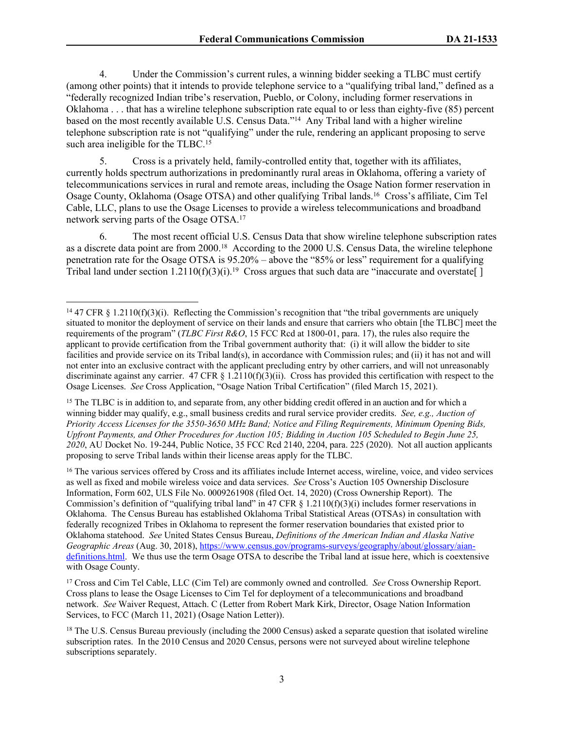4. Under the Commission's current rules, a winning bidder seeking a TLBC must certify (among other points) that it intends to provide telephone service to a "qualifying tribal land," defined as a "federally recognized Indian tribe's reservation, Pueblo, or Colony, including former reservations in Oklahoma . . . that has a wireline telephone subscription rate equal to or less than eighty-five (85) percent based on the most recently available U.S. Census Data."<sup>14</sup> Any Tribal land with a higher wireline telephone subscription rate is not "qualifying" under the rule, rendering an applicant proposing to serve such area ineligible for the TLBC.<sup>15</sup>

5. Cross is a privately held, family-controlled entity that, together with its affiliates, currently holds spectrum authorizations in predominantly rural areas in Oklahoma, offering a variety of telecommunications services in rural and remote areas, including the Osage Nation former reservation in Osage County, Oklahoma (Osage OTSA) and other qualifying Tribal lands.<sup>16</sup> Cross's affiliate, Cim Tel Cable, LLC, plans to use the Osage Licenses to provide a wireless telecommunications and broadband network serving parts of the Osage OTSA.<sup>17</sup>

6. The most recent official U.S. Census Data that show wireline telephone subscription rates as a discrete data point are from 2000.<sup>18</sup> According to the 2000 U.S. Census Data, the wireline telephone penetration rate for the Osage OTSA is 95.20% – above the "85% or less" requirement for a qualifying Tribal land under section  $1.2110(f)(3)(i).$ <sup>19</sup> Cross argues that such data are "inaccurate and overstate.

<sup>14</sup> 47 CFR § 1.2110(f)(3)(i). Reflecting the Commission's recognition that "the tribal governments are uniquely situated to monitor the deployment of service on their lands and ensure that carriers who obtain [the TLBC] meet the requirements of the program" (*TLBC First R&O*, 15 FCC Rcd at 1800-01, para. 17), the rules also require the applicant to provide certification from the Tribal government authority that: (i) it will allow the bidder to site facilities and provide service on its Tribal land(s), in accordance with Commission rules; and (ii) it has not and will not enter into an exclusive contract with the applicant precluding entry by other carriers, and will not unreasonably discriminate against any carrier. 47 CFR  $\S$  1.2110(f)(3)(ii). Cross has provided this certification with respect to the Osage Licenses. *See* Cross Application, "Osage Nation Tribal Certification" (filed March 15, 2021).

<sup>&</sup>lt;sup>15</sup> The TLBC is in addition to, and separate from, any other bidding credit offered in an auction and for which a winning bidder may qualify, e.g., small business credits and rural service provider credits. *See, e.g., Auction of Priority Access Licenses for the 3550-3650 MHz Band; Notice and Filing Requirements, Minimum Opening Bids, Upfront Payments, and Other Procedures for Auction 105; Bidding in Auction 105 Scheduled to Begin June 25, 2020*, AU Docket No. 19-244, Public Notice, 35 FCC Rcd 2140, 2204, para. 225 (2020). Not all auction applicants proposing to serve Tribal lands within their license areas apply for the TLBC.

<sup>&</sup>lt;sup>16</sup> The various services offered by Cross and its affiliates include Internet access, wireline, voice, and video services as well as fixed and mobile wireless voice and data services. *See* Cross's Auction 105 Ownership Disclosure Information, Form 602, ULS File No. 0009261908 (filed Oct. 14, 2020) (Cross Ownership Report). The Commission's definition of "qualifying tribal land" in 47 CFR  $\S$  1.2110(f)(3)(i) includes former reservations in Oklahoma. The Census Bureau has established Oklahoma Tribal Statistical Areas (OTSAs) in consultation with federally recognized Tribes in Oklahoma to represent the former reservation boundaries that existed prior to Oklahoma statehood. *See* United States Census Bureau, *Definitions of the American Indian and Alaska Native Geographic Areas* (Aug. 30, 2018), [https://www.census.gov/programs-surveys/geography/about/glossary/aian](https://www.census.gov/programs-surveys/geography/about/glossary/aian-definitions.html)[definitions.html.](https://www.census.gov/programs-surveys/geography/about/glossary/aian-definitions.html) We thus use the term Osage OTSA to describe the Tribal land at issue here, which is coextensive with Osage County.

<sup>17</sup> Cross and Cim Tel Cable, LLC (Cim Tel) are commonly owned and controlled. *See* Cross Ownership Report. Cross plans to lease the Osage Licenses to Cim Tel for deployment of a telecommunications and broadband network. *See* Waiver Request, Attach. C (Letter from Robert Mark Kirk, Director, Osage Nation Information Services, to FCC (March 11, 2021) (Osage Nation Letter)).

<sup>&</sup>lt;sup>18</sup> The U.S. Census Bureau previously (including the 2000 Census) asked a separate question that isolated wireline subscription rates. In the 2010 Census and 2020 Census, persons were not surveyed about wireline telephone subscriptions separately.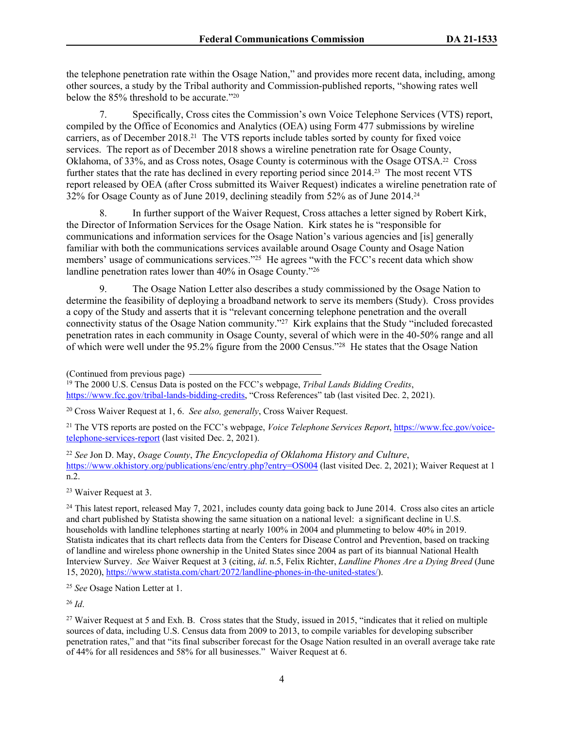the telephone penetration rate within the Osage Nation," and provides more recent data, including, among other sources, a study by the Tribal authority and Commission-published reports, "showing rates well below the 85% threshold to be accurate."<sup>20</sup>

7. Specifically, Cross cites the Commission's own Voice Telephone Services (VTS) report, compiled by the Office of Economics and Analytics (OEA) using Form 477 submissions by wireline carriers, as of December 2018.<sup>21</sup> The VTS reports include tables sorted by county for fixed voice services. The report as of December 2018 shows a wireline penetration rate for Osage County, Oklahoma, of 33%, and as Cross notes, Osage County is coterminous with the Osage OTSA.22 Cross further states that the rate has declined in every reporting period since 2014.<sup>23</sup> The most recent VTS report released by OEA (after Cross submitted its Waiver Request) indicates a wireline penetration rate of 32% for Osage County as of June 2019, declining steadily from 52% as of June 2014.<sup>24</sup>

8. In further support of the Waiver Request, Cross attaches a letter signed by Robert Kirk, the Director of Information Services for the Osage Nation. Kirk states he is "responsible for communications and information services for the Osage Nation's various agencies and [is] generally familiar with both the communications services available around Osage County and Osage Nation members' usage of communications services."<sup>25</sup> He agrees "with the FCC's recent data which show landline penetration rates lower than 40% in Osage County."<sup>26</sup>

9. The Osage Nation Letter also describes a study commissioned by the Osage Nation to determine the feasibility of deploying a broadband network to serve its members (Study). Cross provides a copy of the Study and asserts that it is "relevant concerning telephone penetration and the overall connectivity status of the Osage Nation community."<sup>27</sup> Kirk explains that the Study "included forecasted penetration rates in each community in Osage County, several of which were in the 40-50% range and all of which were well under the 95.2% figure from the 2000 Census."<sup>28</sup> He states that the Osage Nation

<sup>19</sup> The 2000 U.S. Census Data is posted on the FCC's webpage, *Tribal Lands Bidding Credits*, [https://www.fcc.gov/tribal-lands-bidding-credits,](https://www.fcc.gov/tribal-lands-bidding-credits) "Cross References" tab (last visited Dec. 2, 2021).

21 The VTS reports are posted on the FCC's webpage, *Voice Telephone Services Report*, [https://www.fcc.gov/voice](https://www.fcc.gov/voice-telephone-services-report)[telephone-services-report](https://www.fcc.gov/voice-telephone-services-report) (last visited Dec. 2, 2021).

<sup>22</sup> *See* Jon D. May, *Osage County*, *The Encyclopedia of Oklahoma History and Culture*, <https://www.okhistory.org/publications/enc/entry.php?entry=OS004> (last visited Dec. 2, 2021); Waiver Request at 1 n.2.

<sup>23</sup> Waiver Request at 3.

 $^{24}$  This latest report, released May 7, 2021, includes county data going back to June 2014. Cross also cites an article and chart published by Statista showing the same situation on a national level: a significant decline in U.S. households with landline telephones starting at nearly 100% in 2004 and plummeting to below 40% in 2019. Statista indicates that its chart reflects data from the Centers for Disease Control and Prevention, based on tracking of landline and wireless phone ownership in the United States since 2004 as part of its biannual National Health Interview Survey. *See* Waiver Request at 3 (citing, *id*. n.5, Felix Richter, *Landline Phones Are a Dying Breed* (June 15, 2020),<https://www.statista.com/chart/2072/landline-phones-in-the-united-states/>).

<sup>25</sup> *See* Osage Nation Letter at 1.

<sup>26</sup> *Id*.

<sup>27</sup> Waiver Request at 5 and Exh. B. Cross states that the Study, issued in 2015, "indicates that it relied on multiple sources of data, including U.S. Census data from 2009 to 2013, to compile variables for developing subscriber penetration rates," and that "its final subscriber forecast for the Osage Nation resulted in an overall average take rate of 44% for all residences and 58% for all businesses." Waiver Request at 6.

<sup>(</sup>Continued from previous page)

<sup>20</sup> Cross Waiver Request at 1, 6. *See also, generally*, Cross Waiver Request.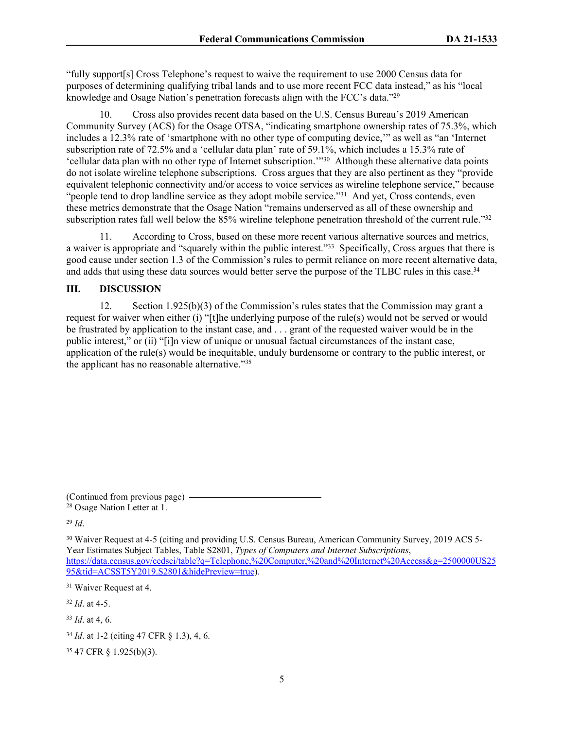"fully support[s] Cross Telephone's request to waive the requirement to use 2000 Census data for purposes of determining qualifying tribal lands and to use more recent FCC data instead," as his "local knowledge and Osage Nation's penetration forecasts align with the FCC's data."<sup>29</sup>

10. Cross also provides recent data based on the U.S. Census Bureau's 2019 American Community Survey (ACS) for the Osage OTSA, "indicating smartphone ownership rates of 75.3%, which includes a 12.3% rate of 'smartphone with no other type of computing device,'" as well as "an 'Internet subscription rate of 72.5% and a 'cellular data plan' rate of 59.1%, which includes a 15.3% rate of 'cellular data plan with no other type of Internet subscription.'"<sup>30</sup> Although these alternative data points do not isolate wireline telephone subscriptions. Cross argues that they are also pertinent as they "provide equivalent telephonic connectivity and/or access to voice services as wireline telephone service," because "people tend to drop landline service as they adopt mobile service."<sup>31</sup> And yet, Cross contends, even these metrics demonstrate that the Osage Nation "remains underserved as all of these ownership and subscription rates fall well below the 85% wireline telephone penetration threshold of the current rule."<sup>32</sup>

11. According to Cross, based on these more recent various alternative sources and metrics, a waiver is appropriate and "squarely within the public interest."<sup>33</sup> Specifically, Cross argues that there is good cause under section 1.3 of the Commission's rules to permit reliance on more recent alternative data, and adds that using these data sources would better serve the purpose of the TLBC rules in this case.<sup>34</sup>

# **III. DISCUSSION**

12. Section 1.925(b)(3) of the Commission's rules states that the Commission may grant a request for waiver when either (i) "[t]he underlying purpose of the rule(s) would not be served or would be frustrated by application to the instant case, and . . . grant of the requested waiver would be in the public interest," or (ii) "[i]n view of unique or unusual factual circumstances of the instant case, application of the rule(s) would be inequitable, unduly burdensome or contrary to the public interest, or the applicant has no reasonable alternative."<sup>35</sup>

(Continued from previous page)

<sup>28</sup> Osage Nation Letter at 1.

<sup>29</sup> *Id*.

<sup>30</sup> Waiver Request at 4-5 (citing and providing U.S. Census Bureau, American Community Survey, 2019 ACS 5-Year Estimates Subject Tables, Table S2801, *Types of Computers and Internet Subscriptions*, https://data.census.gov/cedsci/table?q=Telephone,%20Computer,%20and%20Internet%20Access&g=2500000US25 95&tid=ACSST5Y2019.S2801&hidePreview=true).

<sup>31</sup> Waiver Request at 4.

<sup>32</sup> *Id*. at 4-5.

<sup>33</sup> *Id*. at 4, 6.

35 47 CFR § 1.925(b)(3).

<sup>34</sup> *Id*. at 1-2 (citing 47 CFR § 1.3), 4, 6.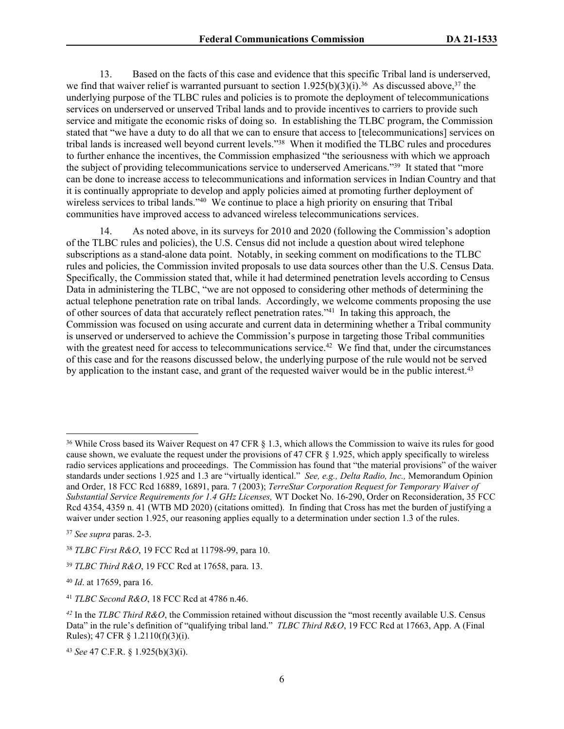13. Based on the facts of this case and evidence that this specific Tribal land is underserved, we find that waiver relief is warranted pursuant to section  $1.925(b)(3)(i).^{36}$  As discussed above,<sup>37</sup> the underlying purpose of the TLBC rules and policies is to promote the deployment of telecommunications services on underserved or unserved Tribal lands and to provide incentives to carriers to provide such service and mitigate the economic risks of doing so. In establishing the TLBC program, the Commission stated that "we have a duty to do all that we can to ensure that access to [telecommunications] services on tribal lands is increased well beyond current levels."<sup>38</sup> When it modified the TLBC rules and procedures to further enhance the incentives, the Commission emphasized "the seriousness with which we approach the subject of providing telecommunications service to underserved Americans."<sup>39</sup> It stated that "more can be done to increase access to telecommunications and information services in Indian Country and that it is continually appropriate to develop and apply policies aimed at promoting further deployment of wireless services to tribal lands."<sup>40</sup> We continue to place a high priority on ensuring that Tribal communities have improved access to advanced wireless telecommunications services.

14. As noted above, in its surveys for 2010 and 2020 (following the Commission's adoption of the TLBC rules and policies), the U.S. Census did not include a question about wired telephone subscriptions as a stand-alone data point. Notably, in seeking comment on modifications to the TLBC rules and policies, the Commission invited proposals to use data sources other than the U.S. Census Data. Specifically, the Commission stated that, while it had determined penetration levels according to Census Data in administering the TLBC, "we are not opposed to considering other methods of determining the actual telephone penetration rate on tribal lands. Accordingly, we welcome comments proposing the use of other sources of data that accurately reflect penetration rates."<sup>41</sup> In taking this approach, the Commission was focused on using accurate and current data in determining whether a Tribal community is unserved or underserved to achieve the Commission's purpose in targeting those Tribal communities with the greatest need for access to telecommunications service.<sup>42</sup> We find that, under the circumstances of this case and for the reasons discussed below, the underlying purpose of the rule would not be served by application to the instant case, and grant of the requested waiver would be in the public interest.<sup>43</sup>

<sup>36</sup> While Cross based its Waiver Request on 47 CFR § 1.3, which allows the Commission to waive its rules for good cause shown, we evaluate the request under the provisions of 47 CFR § 1.925, which apply specifically to wireless radio services applications and proceedings. The Commission has found that "the material provisions" of the waiver standards under sections 1.925 and 1.3 are "virtually identical." *See, e.g., Delta Radio, Inc.,* Memorandum Opinion and Order, 18 FCC Rcd 16889, 16891, para. 7 (2003); *TerreStar Corporation Request for Temporary Waiver of Substantial Service Requirements for 1.4 GHz Licenses,* WT Docket No. 16-290, Order on Reconsideration, 35 FCC Rcd 4354, 4359 n. 41 (WTB MD 2020) (citations omitted). In finding that Cross has met the burden of justifying a waiver under section 1.925, our reasoning applies equally to a determination under section 1.3 of the rules.

<sup>37</sup> *See supra* paras. 2-3.

<sup>38</sup> *TLBC First R&O*, 19 FCC Rcd at 11798-99, para 10.

<sup>39</sup> *TLBC Third R&O*, 19 FCC Rcd at 17658, para. 13.

<sup>40</sup> *Id*. at 17659, para 16.

<sup>41</sup> *TLBC Second R&O*, 18 FCC Rcd at 4786 n.46.

*<sup>42</sup>* In the *TLBC Third R&O*, the Commission retained without discussion the "most recently available U.S. Census Data" in the rule's definition of "qualifying tribal land." *TLBC Third R&O*, 19 FCC Rcd at 17663, App. A (Final Rules); 47 CFR § 1.2110(f)(3)(i).

<sup>43</sup> *See* 47 C.F.R. § 1.925(b)(3)(i).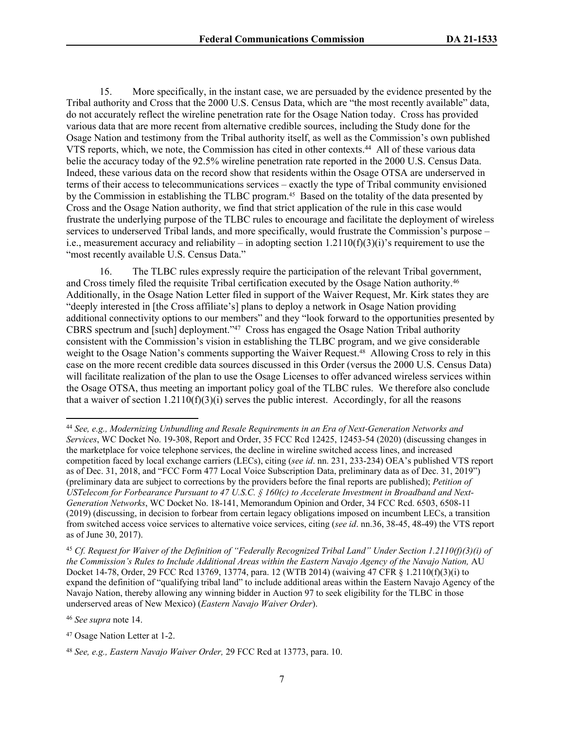15. More specifically, in the instant case, we are persuaded by the evidence presented by the Tribal authority and Cross that the 2000 U.S. Census Data, which are "the most recently available" data, do not accurately reflect the wireline penetration rate for the Osage Nation today. Cross has provided various data that are more recent from alternative credible sources, including the Study done for the Osage Nation and testimony from the Tribal authority itself, as well as the Commission's own published VTS reports, which, we note, the Commission has cited in other contexts.<sup>44</sup> All of these various data belie the accuracy today of the 92.5% wireline penetration rate reported in the 2000 U.S. Census Data. Indeed, these various data on the record show that residents within the Osage OTSA are underserved in terms of their access to telecommunications services – exactly the type of Tribal community envisioned by the Commission in establishing the TLBC program.45 Based on the totality of the data presented by Cross and the Osage Nation authority, we find that strict application of the rule in this case would frustrate the underlying purpose of the TLBC rules to encourage and facilitate the deployment of wireless services to underserved Tribal lands, and more specifically, would frustrate the Commission's purpose – i.e., measurement accuracy and reliability – in adopting section  $1.2110(f)(3)(i)$ 's requirement to use the "most recently available U.S. Census Data."

16. The TLBC rules expressly require the participation of the relevant Tribal government, and Cross timely filed the requisite Tribal certification executed by the Osage Nation authority.<sup>46</sup> Additionally, in the Osage Nation Letter filed in support of the Waiver Request, Mr. Kirk states they are "deeply interested in [the Cross affiliate's] plans to deploy a network in Osage Nation providing additional connectivity options to our members" and they "look forward to the opportunities presented by CBRS spectrum and [such] deployment."<sup>47</sup> Cross has engaged the Osage Nation Tribal authority consistent with the Commission's vision in establishing the TLBC program, and we give considerable weight to the Osage Nation's comments supporting the Waiver Request.48 Allowing Cross to rely in this case on the more recent credible data sources discussed in this Order (versus the 2000 U.S. Census Data) will facilitate realization of the plan to use the Osage Licenses to offer advanced wireless services within the Osage OTSA, thus meeting an important policy goal of the TLBC rules. We therefore also conclude that a waiver of section  $1.2110(f)(3)(i)$  serves the public interest. Accordingly, for all the reasons

<sup>46</sup> *See supra* note 14.

<sup>44</sup> *See, e.g., Modernizing Unbundling and Resale Requirements in an Era of Next-Generation Networks and Services*, WC Docket No. 19-308, Report and Order, 35 FCC Rcd 12425, 12453-54 (2020) (discussing changes in the marketplace for voice telephone services, the decline in wireline switched access lines, and increased competition faced by local exchange carriers (LECs), citing (*see id*. nn. 231, 233-234) OEA's published VTS report as of Dec. 31, 2018, and "FCC Form 477 Local Voice Subscription Data, preliminary data as of Dec. 31, 2019") (preliminary data are subject to corrections by the providers before the final reports are published); *Petition of USTelecom for Forbearance Pursuant to 47 U.S.C. § 160(c) to Accelerate Investment in Broadband and Next-Generation Networks*, WC Docket No. 18-141, Memorandum Opinion and Order, 34 FCC Rcd. 6503, 6508-11 (2019) (discussing, in decision to forbear from certain legacy obligations imposed on incumbent LECs, a transition from switched access voice services to alternative voice services, citing (*see id*. nn.36, 38-45, 48-49) the VTS report as of June 30, 2017).

<sup>45</sup> *Cf. Request for Waiver of the Definition of "Federally Recognized Tribal Land" Under Section 1.2110(f)(3)(i) of the Commission's Rules to Include Additional Areas within the Eastern Navajo Agency of the Navajo Nation,* AU Docket 14-78, Order, 29 FCC Rcd 13769, 13774, para. 12 (WTB 2014) (waiving 47 CFR § 1.2110(f)(3)(i) to expand the definition of "qualifying tribal land" to include additional areas within the Eastern Navajo Agency of the Navajo Nation, thereby allowing any winning bidder in Auction 97 to seek eligibility for the TLBC in those underserved areas of New Mexico) (*Eastern Navajo Waiver Order*).

<sup>47</sup> Osage Nation Letter at 1-2.

<sup>48</sup> *See, e.g., Eastern Navajo Waiver Order,* 29 FCC Rcd at 13773, para. 10.